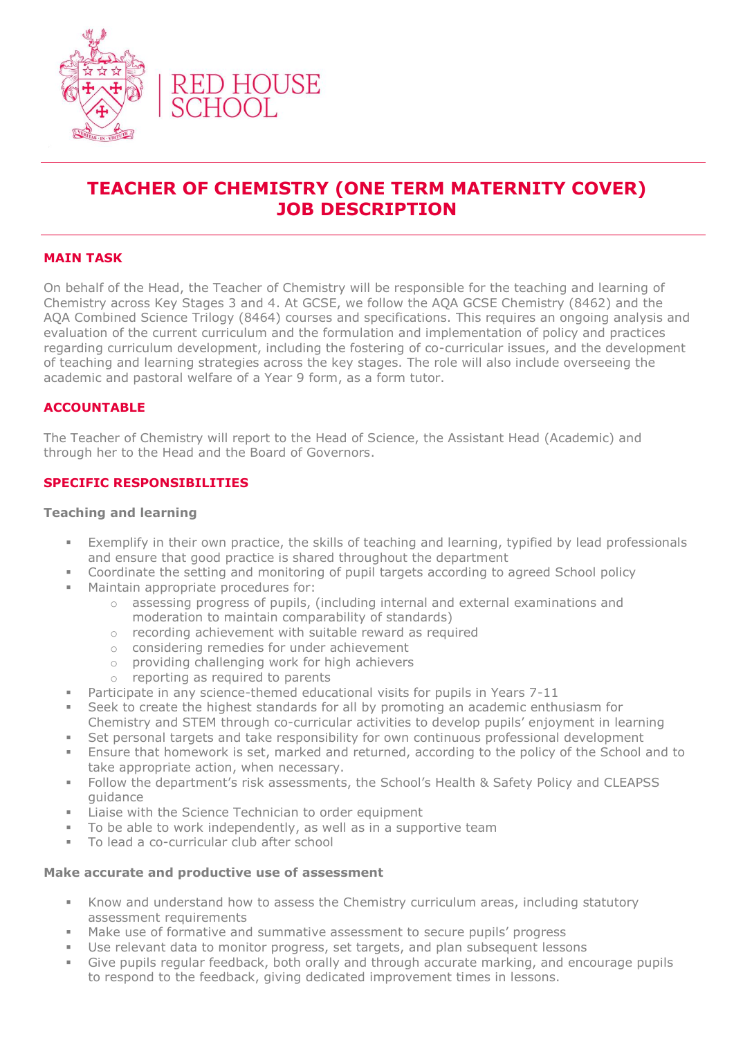

# **TEACHER OF CHEMISTRY (ONE TERM MATERNITY COVER) JOB DESCRIPTION**

# **MAIN TASK**

On behalf of the Head, the Teacher of Chemistry will be responsible for the teaching and learning of Chemistry across Key Stages 3 and 4. At GCSE, we follow the AQA GCSE Chemistry (8462) and the AQA Combined Science Trilogy (8464) courses and specifications. This requires an ongoing analysis and evaluation of the current curriculum and the formulation and implementation of policy and practices regarding curriculum development, including the fostering of co-curricular issues, and the development of teaching and learning strategies across the key stages. The role will also include overseeing the academic and pastoral welfare of a Year 9 form, as a form tutor.

## **ACCOUNTABLE**

The Teacher of Chemistry will report to the Head of Science, the Assistant Head (Academic) and through her to the Head and the Board of Governors.

## **SPECIFIC RESPONSIBILITIES**

#### **Teaching and learning**

- Exemplify in their own practice, the skills of teaching and learning, typified by lead professionals and ensure that good practice is shared throughout the department
- Coordinate the setting and monitoring of pupil targets according to agreed School policy
- Maintain appropriate procedures for:
	- o assessing progress of pupils, (including internal and external examinations and moderation to maintain comparability of standards)
	- o recording achievement with suitable reward as required
	- o considering remedies for under achievement
	- o providing challenging work for high achievers
	- o reporting as required to parents
- **•** Participate in any science-themed educational visits for pupils in Years 7-11
- **EXECT** Seek to create the highest standards for all by promoting an academic enthusiasm for Chemistry and STEM through co-curricular activities to develop pupils' enjoyment in learning
- **EXECT** Set personal targets and take responsibility for own continuous professional development
- **Ensure that homework is set, marked and returned, according to the policy of the School and to** take appropriate action, when necessary.
- Follow the department's risk assessments, the School's Health & Safety Policy and CLEAPSS guidance
- Liaise with the Science Technician to order equipment
- To be able to work independently, as well as in a supportive team
- To lead a co-curricular club after school

#### **Make accurate and productive use of assessment**

- **EXEL** Know and understand how to assess the Chemistry curriculum areas, including statutory assessment requirements
- Make use of formative and summative assessment to secure pupils' progress
- Use relevant data to monitor progress, set targets, and plan subsequent lessons
- Give pupils regular feedback, both orally and through accurate marking, and encourage pupils to respond to the feedback, giving dedicated improvement times in lessons.